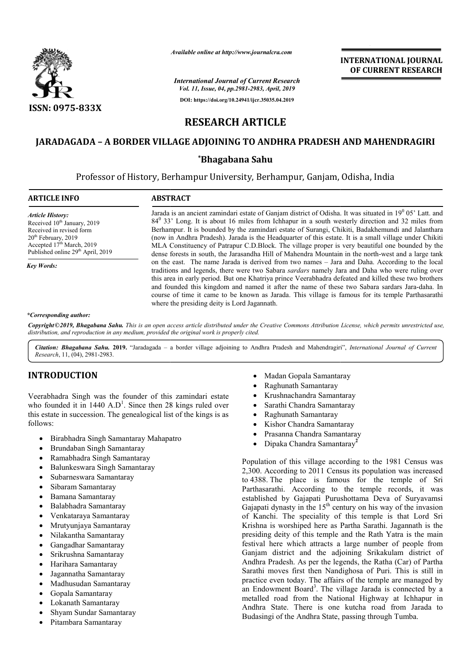

*Available online at http://www.journalcra.com*

*International Journal of Current Research Vol. 11, Issue, 04, pp.2981-2983, April, 2019*

**DOI: https://doi.org/10.24941/ijcr.35035.04.2019**

**INTERNATIONAL JOURNAL OF CURRENT RESEARCH**

# **RESEARCH ARTICLE**

# **JARADAGADA – A BORDER VILLAGE ADJOINING TO ANDHRA PRADESH AND MAHENDRAGIRI**

### **\*Bhagabana Sahu**

Professor of History, Berhampur University, Berhampur, Ganjam, Odisha Odisha, India

| <b>ARTICLE INFO</b>                                                                                                                                                                                               | <b>ABSTRACT</b>                                                                                                                                                                                                                                                                                                                                                                                                                                                                                                                                                                                                                                               |
|-------------------------------------------------------------------------------------------------------------------------------------------------------------------------------------------------------------------|---------------------------------------------------------------------------------------------------------------------------------------------------------------------------------------------------------------------------------------------------------------------------------------------------------------------------------------------------------------------------------------------------------------------------------------------------------------------------------------------------------------------------------------------------------------------------------------------------------------------------------------------------------------|
| <b>Article History:</b><br>Received 10 <sup>th</sup> January, 2019<br>Received in revised form<br>$20th$ February, 2019<br>Accepted 17 <sup>th</sup> March, 2019<br>Published online 29 <sup>th</sup> April, 2019 | Jarada is an ancient zamindari estate of Ganjam district of Odisha. It was situated in 19 <sup>0</sup> 05' Latt. and<br>84 <sup>0</sup> 33' Long. It is about 16 miles from Ichhapur in a south westerly direction and 32 miles from<br>Berhampur. It is bounded by the zamindari estate of Surangi, Chikiti, Badakhemundi and Jalanthara<br>(now in Andhra Pradesh). Jarada is the Headquarter of this estate. It is a small village under Chikiti<br>MLA Constituency of Patrapur C.D.Block. The village proper is very beautiful one bounded by the<br>dense forests in south, the Jarasandha Hill of Mahendra Mountain in the north-west and a large tank |
| <b>Key Words:</b>                                                                                                                                                                                                 | on the east. The name Jarada is derived from two names – Jara and Daha. According to the local<br>traditions and legends, there were two Sabara <i>sardars</i> namely Jara and Daha who were ruling over<br>this area in early period. But one Khatriya prince Veerabhadra defeated and killed these two brothers<br>and founded this kingdom and named it after the name of these two Sabara sardars Jara-daha. In<br>course of time it came to be known as Jarada. This village is famous for its temple Parthasarathi<br>where the presiding deity is Lord Jagannath.                                                                                      |
| *Corresponding author:                                                                                                                                                                                            |                                                                                                                                                                                                                                                                                                                                                                                                                                                                                                                                                                                                                                                               |

Copyright©2019, Bhagabana Sahu. This is an open access article distributed under the Creative Commons Attribution License, which permits unrestricted use, *distribution, and reproduction in any medium, provided the original work is properly cited.*

Citation: Bhagabana Sahu. 2019. "Jaradagada - a border village adjoining to Andhra Pradesh and Mahendragiri", *International Journal of Current Research*, 11, (04), 2981-2983.

## **INTRODUCTION**

Veerabhadra Singh was the founder of this zamindari estate who founded it in 1440  $A.D^1$ . Since then 28 kings ruled over this estate in succession. The genealogical list of the kings is as follows:

- Birabhadra Singh Samantaray Mahapatro
- Brundaban Singh Samantaray
- Ramabhadra Singh Samantaray
- Balunkeswara Singh Samantaray
- Subarneswara Samantaray
- Sibaram Samantaray
- Bamana Samantaray
- Balabhadra Samantaray
- Venkataraya Samantaray
- Mrutyunjaya Samantaray
- Nilakantha Samantaray
- Gangadhar Samantaray
- Srikrushna Samantaray
- Harihara Samantaray
- Jagannatha Samantaray
- Madhusudan Samantaray
- Gopala Samantaray
- Lokanath Samantaray
- Shyam Sundar Samantaray
- Pitambara Samantaray
- Madan Gopala Samantaray
- Raghunath Samantaray
- Krushnachandra Samantaray
- Sarathi Chandra Samantaray • Sarathi Chandra Samantaray<br>• Raghunath Samantaray<br>• Kishor Chandra Samantaray
- Raghunath Samantaray
- 
- Prasanna Chandra Samantaray
- Dipaka Chandra Samantaray **2**

Population of this village according to the 1981 Census was 2,300. According to 2011 Census its population was increased to 4388. The place is famous for the temple of Sri Parthasarathi. According to the temple records, it was established by Gajapati Purushottama Deva of Suryavamsi Gajapati dynasty in the  $15<sup>th</sup>$  century on his way of the invasion of Kanchi. The speciality of this temple is that Lord Sri Krishna is worshiped here as Partha Sarathi. Jagannath is the presiding deity of this temple and the Rath Yatra is the main festival here which attracts a large number of people from Ganjam district and the adjoining Srikakulam district of Andhra Pradesh. As per the legends, the Ratha (Car) of Partha festival here which attracts a large number of people from<br>Ganjam district and the adjoining Srikakulam district of<br>Andhra Pradesh. As per the legends, the Ratha (Car) of Partha<br>Sarathi moves first then Nandighosa of Puri. practice even today. The affairs of the temple are managed by an Endowment Board<sup>3</sup>. The village Jarada is connected by a metalled road from the National Highway at Ichhapur in Andhra State. There is one kutcha road from Jarada to Budasingi of the Andhra State, passing through Tumba. on of this village according to the 1981 Census was ccording to 2011 Census its population was increased The place is famous for the temple of Sri rathi. According to the temple records, it was ed by Gajapati Purushottama INTERNATIONAL JOURNAL<br>
OF CURRENT RESEARCH<br>
OF CURRENT RESEARCH<br>
anjam, Odisha, India<br>
anjam, Odisha, India<br>
anyth westerly direction and 32 miles from<br>
such westerly direction and 32 miles from<br>
this estate. It is a small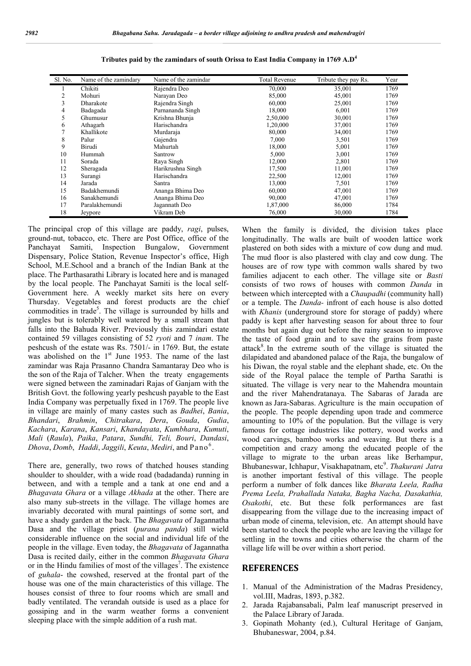| Sl. No. | Name of the zamindary | Name of the zamindar | <b>Total Revenue</b> | Tribute they pay Rs. | Year |
|---------|-----------------------|----------------------|----------------------|----------------------|------|
|         | Chikiti               | Rajendra Deo         | 70,000               | 35,001               | 1769 |
| 2       | Mohuri                | Narayan Deo          | 85,000               | 45,001               | 1769 |
| 3       | Dharakote             | Rajendra Singh       | 60,000               | 25,001               | 1769 |
| 4       | Badagada              | Purnananda Singh     | 18,000               | 6,001                | 1769 |
| 5       | Ghumusur              | Krishna Bhunja       | 2,50,000             | 30,001               | 1769 |
| 6       | Athagarh              | Harischandra         | 1,20,000             | 37,001               | 1769 |
| 7       | Khallikote            | Murdaraja            | 80,000               | 34,001               | 1769 |
| 8       | Palur                 | Gajendra             | 7,000                | 3,501                | 1769 |
| 9       | Birudi                | Mahurtah             | 18,000               | 5,001                | 1769 |
| 10      | Hummah                | Santrow              | 5,000                | 3,001                | 1769 |
| 11      | Sorada                | Raya Singh           | 12,000               | 2,801                | 1769 |
| 12      | Sheragada             | Harikrushna Singh    | 17,500               | 11,001               | 1769 |
| 13      | Surangi               | Harischandra         | 22,500               | 12,001               | 1769 |
| 14      | Jarada                | Santra               | 13,000               | 7,501                | 1769 |
| 15      | Badakhemundi          | Ananga Bhima Deo     | 60,000               | 47,001               | 1769 |
| 16      | Sanakhemundi          | Ananga Bhima Deo     | 90,000               | 47,001               | 1769 |
| 17      | Paralakhemundi        | Jagannath Deo        | 1,87,000             | 86,000               | 1784 |
| 18      | Jeypore               | Vikram Deb           | 76,000               | 30,000               | 1784 |

**Tributes paid by the zamindars of south Orissa to East India Company in 1769 A.D<sup>4</sup>**

The principal crop of this village are paddy, *ragi*, pulses, ground-nut, tobacco, etc. There are Post Office, office of the Panchayat Samiti, Inspection Bungalow, Government Dispensary, Police Station, Revenue Inspector's office, High School, M.E.School and a branch of the Indian Bank at the place. The Parthasarathi Library is located here and is managed by the local people. The Panchayat Samiti is the local self-Government here. A weekly market sits here on every Thursday. Vegetables and forest products are the chief commodities in trade<sup>5</sup>. The village is surrounded by hills and jungles but is tolerably well watered by a small stream that falls into the Bahuda River. Previously this zamindari estate contained 59 villages consisting of 52 *ryoti* and 7 *inam*. The peshcush of the estate was Rs. 7501/- in 1769. But, the estate was abolished on the  $1<sup>st</sup>$  June 1953. The name of the last zamindar was Raja Prasanno Chandra Samantaray Deo who is the son of the Raja of Talcher. When the treaty engagements were signed between the zaminadari Rajas of Ganjam with the British Govt. the following yearly peshcush payable to the East India Company was perpetually fixed in 1769. The people live in village are mainly of many castes such as *Badhei*, *Bania*, *Bhandari*, *Brahmin*, *Chitrakara*, *Dera*, *Gouda*, *Gudia*, *Kachara*, *Karana*, *Kansari*, *Khandayata*, *Kumbhara*, *Kumuti*, *Mali* (*Raula*), *Paika*, *Patara*, *Sundhi, Teli, Bouri*, *Dandasi*, *Dhova*, *Domb*, *Haddi*, *Jaggili*, *Keuta*, *Mediri*, and Pano<sup>6</sup> .

There are, generally, two rows of thatched houses standing shoulder to shoulder, with a wide road (badadanda) running in between, and with a temple and a tank at one end and a *Bhagavata Ghara* or a village *Akhada* at the other. There are also many sub-streets in the village. The village homes are invariably decorated with mural paintings of some sort, and have a shady garden at the back. The *Bhagavata* of Jagannatha Dasa and the village priest (*purana panda*) still wield considerable influence on the social and individual life of the people in the village. Even today, the *Bhagavata* of Jagannatha Dasa is recited daily, either in the common *Bhagavata Ghara*  or in the Hindu families of most of the villages<sup>7</sup>. The existence of *guhala*- the cowshed, reserved at the frontal part of the house was one of the main characteristics of this village. The houses consist of three to four rooms which are small and badly ventilated. The verandah outside is used as a place for gossiping and in the warm weather forms a convenient sleeping place with the simple addition of a rush mat.

When the family is divided, the division takes place longitudinally. The walls are built of wooden lattice work plastered on both sides with a mixture of cow dung and mud. The mud floor is also plastered with clay and cow dung. The houses are of row type with common walls shared by two families adjacent to each other. The village site or *Basti* consists of two rows of houses with common *Danda* in between which intercepted with a *Chaupadhi* (community hall) or a temple. The *Danda-* infront of each house is also dotted with *Khanis* (underground store for storage of paddy) where paddy is kept after harvesting season for about three to four months but again dug out before the rainy season to improve the taste of food grain and to save the grains from paste attack<sup>8</sup>. In the extreme south of the village is situated the dilapidated and abandoned palace of the Raja, the bungalow of his Diwan, the royal stable and the elephant shade, etc. On the side of the Royal palace the temple of Partha Sarathi is situated. The village is very near to the Mahendra mountain and the river Mahendratanaya. The Sabaras of Jarada are known as Jara-Sabaras. Agriculture is the main occupation of the people. The people depending upon trade and commerce amounting to 10% of the population. But the village is very famous for cottage industries like pottery, wood works and wood carvings, bamboo works and weaving. But there is a competition and crazy among the educated people of the village to migrate to the urban areas like Berhampur, Bhubaneswar, Ichhapur, Visakhapatnam, etc<sup>9</sup>. Thakurani Jatra is another important festival of this village. The people perform a number of folk dances like *Bharata Leela, Radha Prema Leela, Prahallada Nataka, Bagha Nacha, Dasakathia, Osakothi*, etc. But these folk performances are fast disappearing from the village due to the increasing impact of urban mode of cinema, television, etc. An attempt should have been started to check the people who are leaving the village for settling in the towns and cities otherwise the charm of the village life will be over within a short period.

#### **REFERENCES**

- 1. Manual of the Administration of the Madras Presidency, vol.III, Madras, 1893, p.382.
- 2. Jarada Rajabansabali, Palm leaf manuscript preserved in the Palace Library of Jarada.
- 3. Gopinath Mohanty (ed.), Cultural Heritage of Ganjam, Bhubaneswar, 2004, p.84.